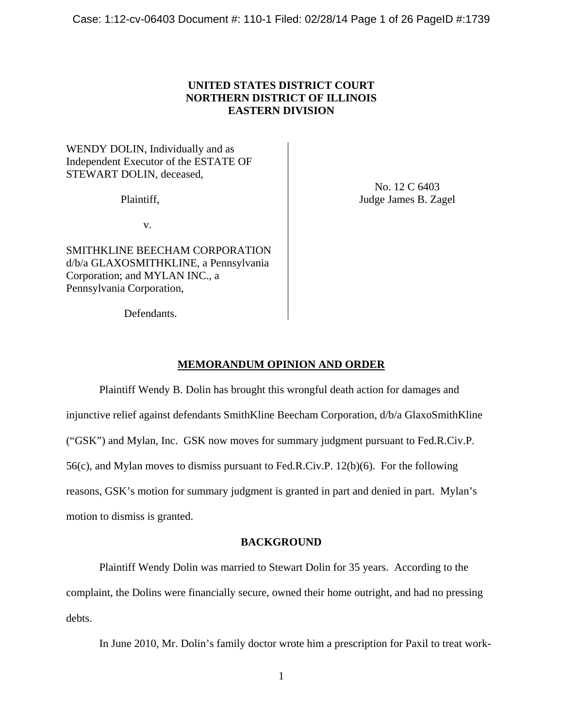# **UNITED STATES DISTRICT COURT NORTHERN DISTRICT OF ILLINOIS EASTERN DIVISION**

WENDY DOLIN, Individually and as Independent Executor of the ESTATE OF STEWART DOLIN, deceased,

Plaintiff,

No. 12 C 6403 Judge James B. Zagel

v.

SMITHKLINE BEECHAM CORPORATION d/b/a GLAXOSMITHKLINE, a Pennsylvania Corporation; and MYLAN INC., a Pennsylvania Corporation,

Defendants.

# **MEMORANDUM OPINION AND ORDER**

 Plaintiff Wendy B. Dolin has brought this wrongful death action for damages and injunctive relief against defendants SmithKline Beecham Corporation, d/b/a GlaxoSmithKline ("GSK") and Mylan, Inc. GSK now moves for summary judgment pursuant to Fed.R.Civ.P. 56(c), and Mylan moves to dismiss pursuant to Fed.R.Civ.P. 12(b)(6). For the following reasons, GSK's motion for summary judgment is granted in part and denied in part. Mylan's motion to dismiss is granted.

# **BACKGROUND**

 Plaintiff Wendy Dolin was married to Stewart Dolin for 35 years. According to the complaint, the Dolins were financially secure, owned their home outright, and had no pressing debts.

In June 2010, Mr. Dolin's family doctor wrote him a prescription for Paxil to treat work-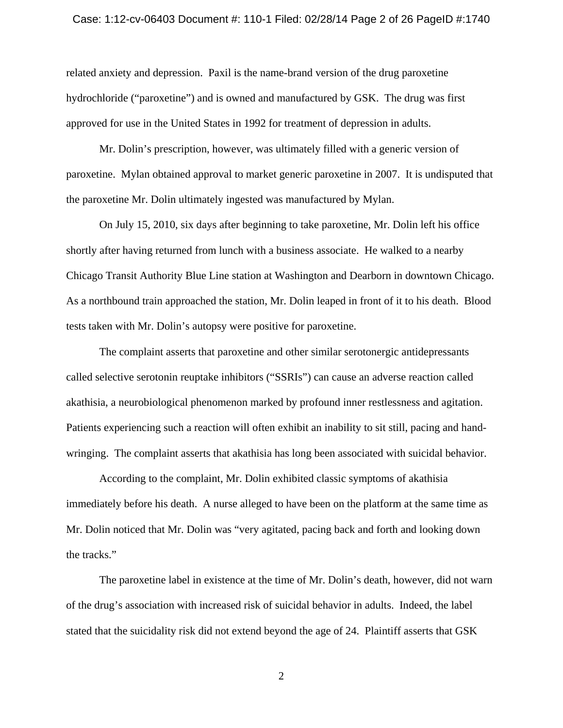### Case: 1:12-cv-06403 Document #: 110-1 Filed: 02/28/14 Page 2 of 26 PageID #:1740

related anxiety and depression. Paxil is the name-brand version of the drug paroxetine hydrochloride ("paroxetine") and is owned and manufactured by GSK. The drug was first approved for use in the United States in 1992 for treatment of depression in adults.

 Mr. Dolin's prescription, however, was ultimately filled with a generic version of paroxetine. Mylan obtained approval to market generic paroxetine in 2007. It is undisputed that the paroxetine Mr. Dolin ultimately ingested was manufactured by Mylan.

 On July 15, 2010, six days after beginning to take paroxetine, Mr. Dolin left his office shortly after having returned from lunch with a business associate. He walked to a nearby Chicago Transit Authority Blue Line station at Washington and Dearborn in downtown Chicago. As a northbound train approached the station, Mr. Dolin leaped in front of it to his death. Blood tests taken with Mr. Dolin's autopsy were positive for paroxetine.

 The complaint asserts that paroxetine and other similar serotonergic antidepressants called selective serotonin reuptake inhibitors ("SSRIs") can cause an adverse reaction called akathisia, a neurobiological phenomenon marked by profound inner restlessness and agitation. Patients experiencing such a reaction will often exhibit an inability to sit still, pacing and handwringing. The complaint asserts that akathisia has long been associated with suicidal behavior.

 According to the complaint, Mr. Dolin exhibited classic symptoms of akathisia immediately before his death. A nurse alleged to have been on the platform at the same time as Mr. Dolin noticed that Mr. Dolin was "very agitated, pacing back and forth and looking down the tracks."

 The paroxetine label in existence at the time of Mr. Dolin's death, however, did not warn of the drug's association with increased risk of suicidal behavior in adults. Indeed, the label stated that the suicidality risk did not extend beyond the age of 24. Plaintiff asserts that GSK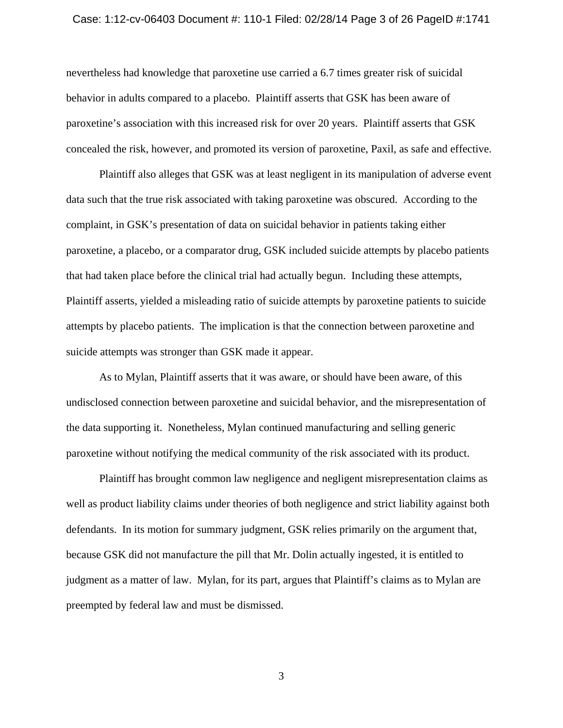### Case: 1:12-cv-06403 Document #: 110-1 Filed: 02/28/14 Page 3 of 26 PageID #:1741

nevertheless had knowledge that paroxetine use carried a 6.7 times greater risk of suicidal behavior in adults compared to a placebo. Plaintiff asserts that GSK has been aware of paroxetine's association with this increased risk for over 20 years. Plaintiff asserts that GSK concealed the risk, however, and promoted its version of paroxetine, Paxil, as safe and effective.

 Plaintiff also alleges that GSK was at least negligent in its manipulation of adverse event data such that the true risk associated with taking paroxetine was obscured. According to the complaint, in GSK's presentation of data on suicidal behavior in patients taking either paroxetine, a placebo, or a comparator drug, GSK included suicide attempts by placebo patients that had taken place before the clinical trial had actually begun. Including these attempts, Plaintiff asserts, yielded a misleading ratio of suicide attempts by paroxetine patients to suicide attempts by placebo patients. The implication is that the connection between paroxetine and suicide attempts was stronger than GSK made it appear.

 As to Mylan, Plaintiff asserts that it was aware, or should have been aware, of this undisclosed connection between paroxetine and suicidal behavior, and the misrepresentation of the data supporting it. Nonetheless, Mylan continued manufacturing and selling generic paroxetine without notifying the medical community of the risk associated with its product.

 Plaintiff has brought common law negligence and negligent misrepresentation claims as well as product liability claims under theories of both negligence and strict liability against both defendants. In its motion for summary judgment, GSK relies primarily on the argument that, because GSK did not manufacture the pill that Mr. Dolin actually ingested, it is entitled to judgment as a matter of law. Mylan, for its part, argues that Plaintiff's claims as to Mylan are preempted by federal law and must be dismissed.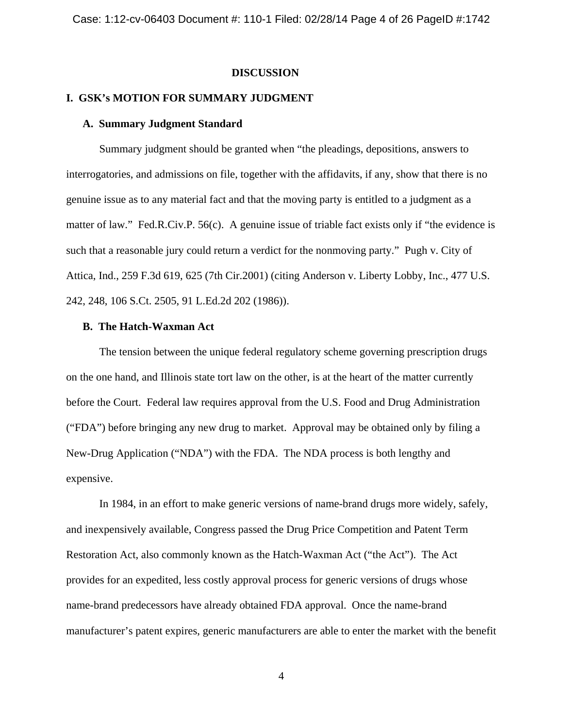# **DISCUSSION**

# **I. GSK's MOTION FOR SUMMARY JUDGMENT**

## **A. Summary Judgment Standard**

 Summary judgment should be granted when "the pleadings, depositions, answers to interrogatories, and admissions on file, together with the affidavits, if any, show that there is no genuine issue as to any material fact and that the moving party is entitled to a judgment as a matter of law." Fed.R.Civ.P. 56(c). A genuine issue of triable fact exists only if "the evidence is such that a reasonable jury could return a verdict for the nonmoving party." Pugh v. City of Attica, Ind., 259 F.3d 619, 625 (7th Cir.2001) (citing Anderson v. Liberty Lobby, Inc., 477 U.S. 242, 248, 106 S.Ct. 2505, 91 L.Ed.2d 202 (1986)).

### **B. The Hatch-Waxman Act**

 The tension between the unique federal regulatory scheme governing prescription drugs on the one hand, and Illinois state tort law on the other, is at the heart of the matter currently before the Court. Federal law requires approval from the U.S. Food and Drug Administration ("FDA") before bringing any new drug to market. Approval may be obtained only by filing a New-Drug Application ("NDA") with the FDA. The NDA process is both lengthy and expensive.

 In 1984, in an effort to make generic versions of name-brand drugs more widely, safely, and inexpensively available, Congress passed the Drug Price Competition and Patent Term Restoration Act, also commonly known as the Hatch-Waxman Act ("the Act"). The Act provides for an expedited, less costly approval process for generic versions of drugs whose name-brand predecessors have already obtained FDA approval. Once the name-brand manufacturer's patent expires, generic manufacturers are able to enter the market with the benefit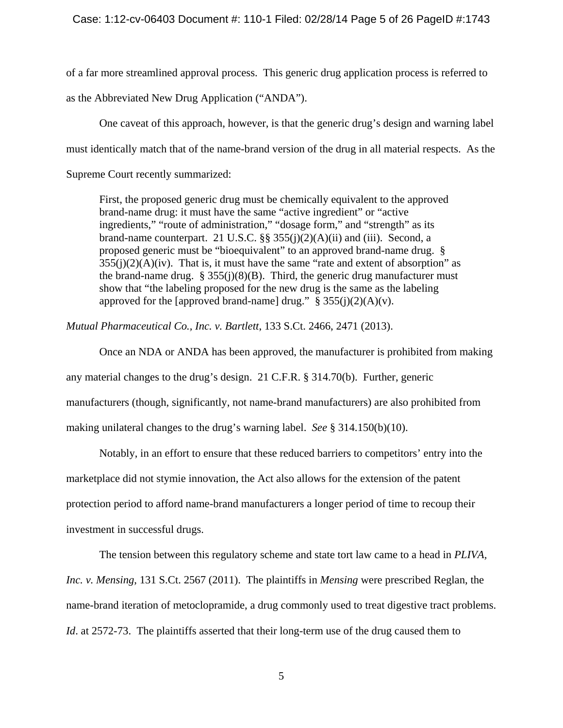of a far more streamlined approval process. This generic drug application process is referred to as the Abbreviated New Drug Application ("ANDA").

 One caveat of this approach, however, is that the generic drug's design and warning label must identically match that of the name-brand version of the drug in all material respects. As the Supreme Court recently summarized:

First, the proposed generic drug must be chemically equivalent to the approved brand-name drug: it must have the same "active ingredient" or "active ingredients," "route of administration," "dosage form," and "strength" as its brand-name counterpart. 21 U.S.C.  $\S$ § 355(j)(2)(A)(ii) and (iii). Second, a proposed generic must be "bioequivalent" to an approved brand-name drug. §  $355(j)(2)(A)(iv)$ . That is, it must have the same "rate and extent of absorption" as the brand-name drug.  $\S 355(i)(8)(B)$ . Third, the generic drug manufacturer must show that "the labeling proposed for the new drug is the same as the labeling approved for the [approved brand-name] drug."  $\S 355(j)(2)(A)(v)$ .

*Mutual Pharmaceutical Co., Inc. v. Bartlett*, 133 S.Ct. 2466, 2471 (2013).

 Once an NDA or ANDA has been approved, the manufacturer is prohibited from making any material changes to the drug's design. 21 C.F.R. § 314.70(b). Further, generic manufacturers (though, significantly, not name-brand manufacturers) are also prohibited from making unilateral changes to the drug's warning label. *See* § 314.150(b)(10).

 Notably, in an effort to ensure that these reduced barriers to competitors' entry into the marketplace did not stymie innovation, the Act also allows for the extension of the patent protection period to afford name-brand manufacturers a longer period of time to recoup their investment in successful drugs.

 The tension between this regulatory scheme and state tort law came to a head in *PLIVA, Inc. v. Mensing*, 131 S.Ct. 2567 (2011). The plaintiffs in *Mensing* were prescribed Reglan, the name-brand iteration of metoclopramide, a drug commonly used to treat digestive tract problems. *Id.* at 2572-73. The plaintiffs asserted that their long-term use of the drug caused them to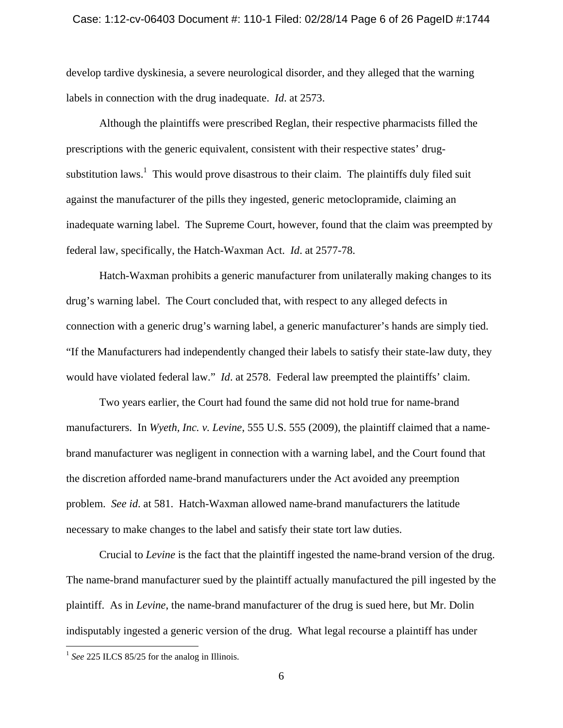# Case: 1:12-cv-06403 Document #: 110-1 Filed: 02/28/14 Page 6 of 26 PageID #:1744

develop tardive dyskinesia, a severe neurological disorder, and they alleged that the warning labels in connection with the drug inadequate. *Id*. at 2573.

 Although the plaintiffs were prescribed Reglan, their respective pharmacists filled the prescriptions with the generic equivalent, consistent with their respective states' drugsubstitution laws.<sup>1</sup> This would prove disastrous to their claim. The plaintiffs duly filed suit against the manufacturer of the pills they ingested, generic metoclopramide, claiming an inadequate warning label. The Supreme Court, however, found that the claim was preempted by federal law, specifically, the Hatch-Waxman Act. *Id*. at 2577-78.

 Hatch-Waxman prohibits a generic manufacturer from unilaterally making changes to its drug's warning label. The Court concluded that, with respect to any alleged defects in connection with a generic drug's warning label, a generic manufacturer's hands are simply tied. "If the Manufacturers had independently changed their labels to satisfy their state-law duty, they would have violated federal law." *Id*. at 2578. Federal law preempted the plaintiffs' claim.

 Two years earlier, the Court had found the same did not hold true for name-brand manufacturers. In *Wyeth, Inc. v. Levine*, 555 U.S. 555 (2009), the plaintiff claimed that a namebrand manufacturer was negligent in connection with a warning label, and the Court found that the discretion afforded name-brand manufacturers under the Act avoided any preemption problem. *See id*. at 581. Hatch-Waxman allowed name-brand manufacturers the latitude necessary to make changes to the label and satisfy their state tort law duties.

 Crucial to *Levine* is the fact that the plaintiff ingested the name-brand version of the drug. The name-brand manufacturer sued by the plaintiff actually manufactured the pill ingested by the plaintiff. As in *Levine*, the name-brand manufacturer of the drug is sued here, but Mr. Dolin indisputably ingested a generic version of the drug. What legal recourse a plaintiff has under

 $\overline{a}$ 

<sup>&</sup>lt;sup>1</sup> See 225 ILCS 85/25 for the analog in Illinois.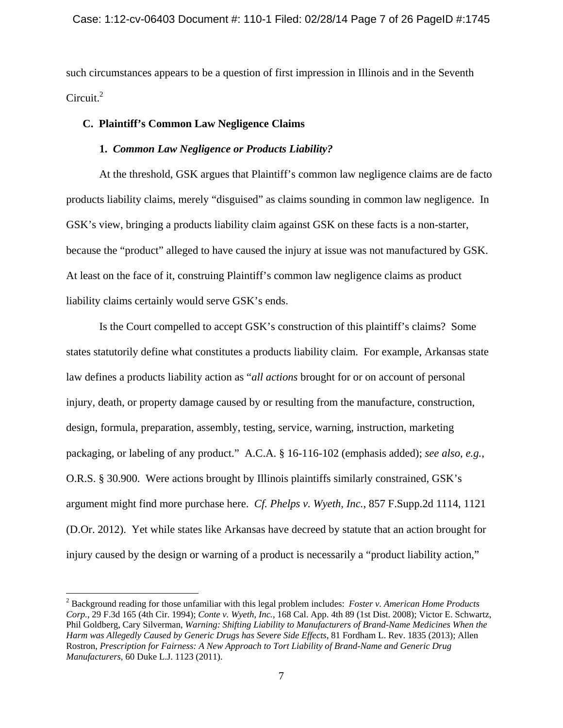such circumstances appears to be a question of first impression in Illinois and in the Seventh Circuit. $^{2}$ 

# **C. Plaintiff's Common Law Negligence Claims**

# **1.** *Common Law Negligence or Products Liability?*

 At the threshold, GSK argues that Plaintiff's common law negligence claims are de facto products liability claims, merely "disguised" as claims sounding in common law negligence. In GSK's view, bringing a products liability claim against GSK on these facts is a non-starter, because the "product" alleged to have caused the injury at issue was not manufactured by GSK. At least on the face of it, construing Plaintiff's common law negligence claims as product liability claims certainly would serve GSK's ends.

 Is the Court compelled to accept GSK's construction of this plaintiff's claims? Some states statutorily define what constitutes a products liability claim. For example, Arkansas state law defines a products liability action as "*all actions* brought for or on account of personal injury, death, or property damage caused by or resulting from the manufacture, construction, design, formula, preparation, assembly, testing, service, warning, instruction, marketing packaging, or labeling of any product." A.C.A. § 16-116-102 (emphasis added); *see also, e.g.*, O.R.S. § 30.900. Were actions brought by Illinois plaintiffs similarly constrained, GSK's argument might find more purchase here. *Cf. Phelps v. Wyeth, Inc.*, 857 F.Supp.2d 1114, 1121 (D.Or. 2012). Yet while states like Arkansas have decreed by statute that an action brought for injury caused by the design or warning of a product is necessarily a "product liability action,"

 $\overline{a}$ 

<sup>2</sup> Background reading for those unfamiliar with this legal problem includes: *Foster v. American Home Products Corp.*, 29 F.3d 165 (4th Cir. 1994); *Conte v. Wyeth, Inc.*, 168 Cal. App. 4th 89 (1st Dist. 2008); Victor E. Schwartz, Phil Goldberg, Cary Silverman, *Warning: Shifting Liability to Manufacturers of Brand-Name Medicines When the Harm was Allegedly Caused by Generic Drugs has Severe Side Effects*, 81 Fordham L. Rev. 1835 (2013); Allen Rostron, *Prescription for Fairness: A New Approach to Tort Liability of Brand-Name and Generic Drug Manufacturers*, 60 Duke L.J. 1123 (2011).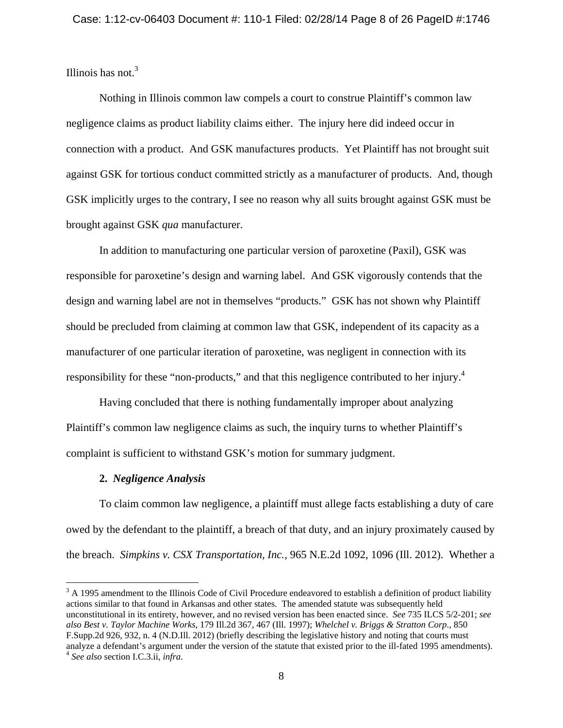Illinois has not. $3$ 

 Nothing in Illinois common law compels a court to construe Plaintiff's common law negligence claims as product liability claims either. The injury here did indeed occur in connection with a product. And GSK manufactures products. Yet Plaintiff has not brought suit against GSK for tortious conduct committed strictly as a manufacturer of products. And, though GSK implicitly urges to the contrary, I see no reason why all suits brought against GSK must be brought against GSK *qua* manufacturer.

 In addition to manufacturing one particular version of paroxetine (Paxil), GSK was responsible for paroxetine's design and warning label. And GSK vigorously contends that the design and warning label are not in themselves "products." GSK has not shown why Plaintiff should be precluded from claiming at common law that GSK, independent of its capacity as a manufacturer of one particular iteration of paroxetine, was negligent in connection with its responsibility for these "non-products," and that this negligence contributed to her injury.<sup>4</sup>

 Having concluded that there is nothing fundamentally improper about analyzing Plaintiff's common law negligence claims as such, the inquiry turns to whether Plaintiff's complaint is sufficient to withstand GSK's motion for summary judgment.

# **2.** *Negligence Analysis*

<u>.</u>

 To claim common law negligence, a plaintiff must allege facts establishing a duty of care owed by the defendant to the plaintiff, a breach of that duty, and an injury proximately caused by the breach. *Simpkins v. CSX Transportation, Inc.*, 965 N.E.2d 1092, 1096 (Ill. 2012). Whether a

 $3$  A 1995 amendment to the Illinois Code of Civil Procedure endeavored to establish a definition of product liability actions similar to that found in Arkansas and other states. The amended statute was subsequently held unconstitutional in its entirety, however, and no revised version has been enacted since. *See* 735 ILCS 5/2-201; *see also Best v. Taylor Machine Works*, 179 Ill.2d 367, 467 (Ill. 1997); *Whelchel v. Briggs & Stratton Corp.*, 850 F.Supp.2d 926, 932, n. 4 (N.D.Ill. 2012) (briefly describing the legislative history and noting that courts must analyze a defendant's argument under the version of the statute that existed prior to the ill-fated 1995 amendments). 4 *See also* section I.C.3.ii, *infra*.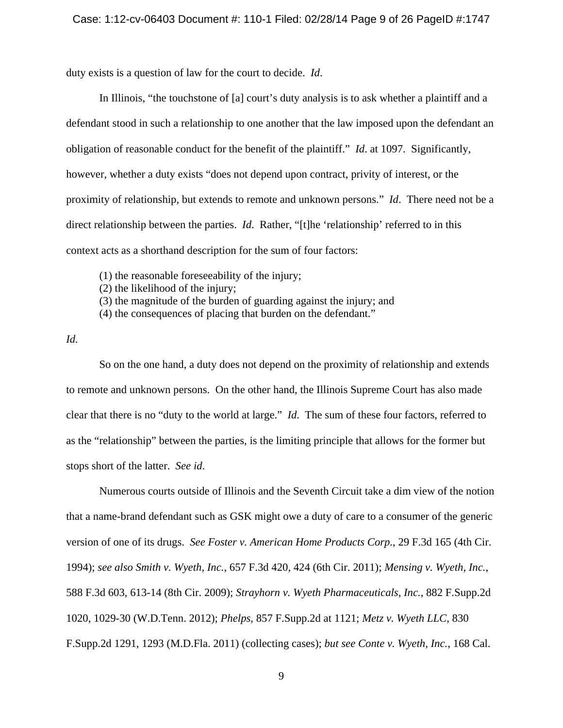duty exists is a question of law for the court to decide. *Id*.

 In Illinois, "the touchstone of [a] court's duty analysis is to ask whether a plaintiff and a defendant stood in such a relationship to one another that the law imposed upon the defendant an obligation of reasonable conduct for the benefit of the plaintiff." *Id*. at 1097. Significantly, however, whether a duty exists "does not depend upon contract, privity of interest, or the proximity of relationship, but extends to remote and unknown persons." *Id*. There need not be a direct relationship between the parties. *Id*. Rather, "[t]he 'relationship' referred to in this context acts as a shorthand description for the sum of four factors:

(1) the reasonable foreseeability of the injury;

- (2) the likelihood of the injury;
- (3) the magnitude of the burden of guarding against the injury; and
- (4) the consequences of placing that burden on the defendant."

*Id.*

 So on the one hand, a duty does not depend on the proximity of relationship and extends to remote and unknown persons. On the other hand, the Illinois Supreme Court has also made clear that there is no "duty to the world at large." *Id*. The sum of these four factors, referred to as the "relationship" between the parties, is the limiting principle that allows for the former but stops short of the latter. *See id*.

 Numerous courts outside of Illinois and the Seventh Circuit take a dim view of the notion that a name-brand defendant such as GSK might owe a duty of care to a consumer of the generic version of one of its drugs. *See Foster v. American Home Products Corp.*, 29 F.3d 165 (4th Cir. 1994); *see also Smith v. Wyeth, Inc.*, 657 F.3d 420, 424 (6th Cir. 2011); *Mensing v. Wyeth, Inc.*, 588 F.3d 603, 613-14 (8th Cir. 2009); *Strayhorn v. Wyeth Pharmaceuticals, Inc.*, 882 F.Supp.2d 1020, 1029-30 (W.D.Tenn. 2012); *Phelps*, 857 F.Supp.2d at 1121; *Metz v. Wyeth LLC*, 830 F.Supp.2d 1291, 1293 (M.D.Fla. 2011) (collecting cases); *but see Conte v. Wyeth, Inc.*, 168 Cal.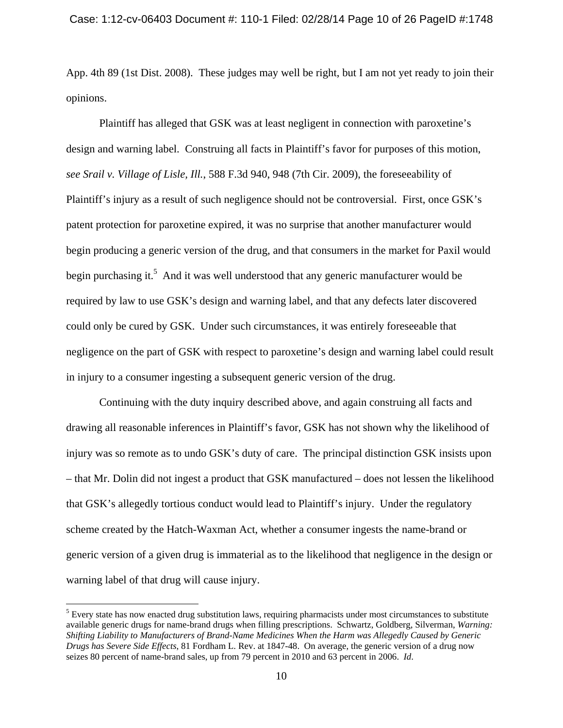App. 4th 89 (1st Dist. 2008). These judges may well be right, but I am not yet ready to join their opinions.

 Plaintiff has alleged that GSK was at least negligent in connection with paroxetine's design and warning label. Construing all facts in Plaintiff's favor for purposes of this motion, *see Srail v. Village of Lisle, Ill.*, 588 F.3d 940, 948 (7th Cir. 2009), the foreseeability of Plaintiff's injury as a result of such negligence should not be controversial. First, once GSK's patent protection for paroxetine expired, it was no surprise that another manufacturer would begin producing a generic version of the drug, and that consumers in the market for Paxil would begin purchasing it.<sup>5</sup> And it was well understood that any generic manufacturer would be required by law to use GSK's design and warning label, and that any defects later discovered could only be cured by GSK. Under such circumstances, it was entirely foreseeable that negligence on the part of GSK with respect to paroxetine's design and warning label could result in injury to a consumer ingesting a subsequent generic version of the drug.

 Continuing with the duty inquiry described above, and again construing all facts and drawing all reasonable inferences in Plaintiff's favor, GSK has not shown why the likelihood of injury was so remote as to undo GSK's duty of care. The principal distinction GSK insists upon – that Mr. Dolin did not ingest a product that GSK manufactured – does not lessen the likelihood that GSK's allegedly tortious conduct would lead to Plaintiff's injury. Under the regulatory scheme created by the Hatch-Waxman Act, whether a consumer ingests the name-brand or generic version of a given drug is immaterial as to the likelihood that negligence in the design or warning label of that drug will cause injury.

<sup>&</sup>lt;sup>5</sup> Every state has now enacted drug substitution laws, requiring pharmacists under most circumstances to substitute available generic drugs for name-brand drugs when filling prescriptions. Schwartz, Goldberg, Silverman, *Warning: Shifting Liability to Manufacturers of Brand-Name Medicines When the Harm was Allegedly Caused by Generic Drugs has Severe Side Effects*, 81 Fordham L. Rev. at 1847-48. On average, the generic version of a drug now seizes 80 percent of name-brand sales, up from 79 percent in 2010 and 63 percent in 2006. *Id*.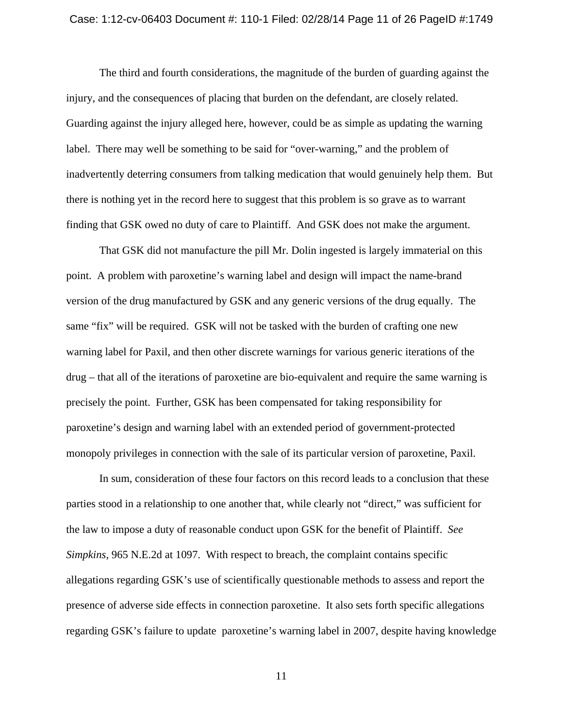#### Case: 1:12-cv-06403 Document #: 110-1 Filed: 02/28/14 Page 11 of 26 PageID #:1749

 The third and fourth considerations, the magnitude of the burden of guarding against the injury, and the consequences of placing that burden on the defendant, are closely related. Guarding against the injury alleged here, however, could be as simple as updating the warning label. There may well be something to be said for "over-warning," and the problem of inadvertently deterring consumers from talking medication that would genuinely help them. But there is nothing yet in the record here to suggest that this problem is so grave as to warrant finding that GSK owed no duty of care to Plaintiff. And GSK does not make the argument.

 That GSK did not manufacture the pill Mr. Dolin ingested is largely immaterial on this point. A problem with paroxetine's warning label and design will impact the name-brand version of the drug manufactured by GSK and any generic versions of the drug equally. The same "fix" will be required. GSK will not be tasked with the burden of crafting one new warning label for Paxil, and then other discrete warnings for various generic iterations of the drug – that all of the iterations of paroxetine are bio-equivalent and require the same warning is precisely the point. Further, GSK has been compensated for taking responsibility for paroxetine's design and warning label with an extended period of government-protected monopoly privileges in connection with the sale of its particular version of paroxetine, Paxil.

 In sum, consideration of these four factors on this record leads to a conclusion that these parties stood in a relationship to one another that, while clearly not "direct," was sufficient for the law to impose a duty of reasonable conduct upon GSK for the benefit of Plaintiff. *See Simpkins*, 965 N.E.2d at 1097. With respect to breach, the complaint contains specific allegations regarding GSK's use of scientifically questionable methods to assess and report the presence of adverse side effects in connection paroxetine. It also sets forth specific allegations regarding GSK's failure to update paroxetine's warning label in 2007, despite having knowledge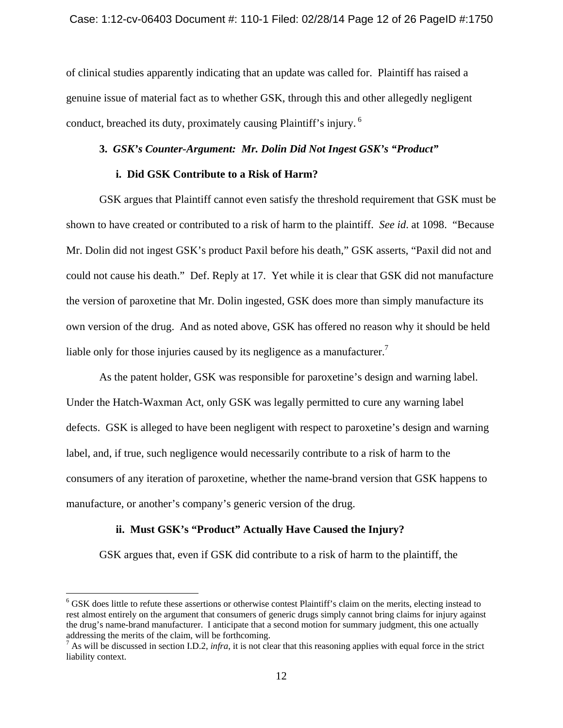of clinical studies apparently indicating that an update was called for. Plaintiff has raised a genuine issue of material fact as to whether GSK, through this and other allegedly negligent conduct, breached its duty, proximately causing Plaintiff's injury. 6

# **3.** *GSK's Counter-Argument: Mr. Dolin Did Not Ingest GSK's "Product"*

### **i. Did GSK Contribute to a Risk of Harm?**

 GSK argues that Plaintiff cannot even satisfy the threshold requirement that GSK must be shown to have created or contributed to a risk of harm to the plaintiff. *See id*. at 1098. "Because Mr. Dolin did not ingest GSK's product Paxil before his death," GSK asserts, "Paxil did not and could not cause his death." Def. Reply at 17. Yet while it is clear that GSK did not manufacture the version of paroxetine that Mr. Dolin ingested, GSK does more than simply manufacture its own version of the drug. And as noted above, GSK has offered no reason why it should be held liable only for those injuries caused by its negligence as a manufacturer.<sup>7</sup>

 As the patent holder, GSK was responsible for paroxetine's design and warning label. Under the Hatch-Waxman Act, only GSK was legally permitted to cure any warning label defects. GSK is alleged to have been negligent with respect to paroxetine's design and warning label, and, if true, such negligence would necessarily contribute to a risk of harm to the consumers of any iteration of paroxetine, whether the name-brand version that GSK happens to manufacture, or another's company's generic version of the drug.

# **ii. Must GSK's "Product" Actually Have Caused the Injury?**

1

GSK argues that, even if GSK did contribute to a risk of harm to the plaintiff, the

<sup>&</sup>lt;sup>6</sup> GSK does little to refute these assertions or otherwise contest Plaintiff's claim on the merits, electing instead to rest almost entirely on the argument that consumers of generic drugs simply cannot bring claims for injury against the drug's name-brand manufacturer. I anticipate that a second motion for summary judgment, this one actually addressing the merits of the claim, will be forthcoming.

 $^7$  As will be discussed in section I.D.2, *infra*, it is not clear that this reasoning applies with equal force in the strict liability context.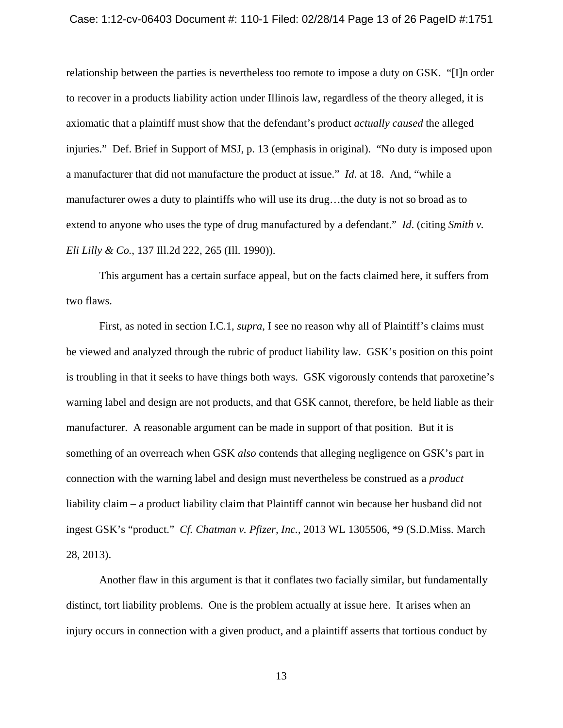#### Case: 1:12-cv-06403 Document #: 110-1 Filed: 02/28/14 Page 13 of 26 PageID #:1751

relationship between the parties is nevertheless too remote to impose a duty on GSK. "[I]n order to recover in a products liability action under Illinois law, regardless of the theory alleged, it is axiomatic that a plaintiff must show that the defendant's product *actually caused* the alleged injuries." Def. Brief in Support of MSJ, p. 13 (emphasis in original). "No duty is imposed upon a manufacturer that did not manufacture the product at issue." *Id*. at 18. And, "while a manufacturer owes a duty to plaintiffs who will use its drug…the duty is not so broad as to extend to anyone who uses the type of drug manufactured by a defendant." *Id*. (citing *Smith v. Eli Lilly & Co.*, 137 Ill.2d 222, 265 (Ill. 1990)).

 This argument has a certain surface appeal, but on the facts claimed here, it suffers from two flaws.

 First, as noted in section I.C.1, *supra*, I see no reason why all of Plaintiff's claims must be viewed and analyzed through the rubric of product liability law. GSK's position on this point is troubling in that it seeks to have things both ways. GSK vigorously contends that paroxetine's warning label and design are not products, and that GSK cannot, therefore, be held liable as their manufacturer. A reasonable argument can be made in support of that position. But it is something of an overreach when GSK *also* contends that alleging negligence on GSK's part in connection with the warning label and design must nevertheless be construed as a *product* liability claim – a product liability claim that Plaintiff cannot win because her husband did not ingest GSK's "product." *Cf. Chatman v. Pfizer, Inc.*, 2013 WL 1305506, \*9 (S.D.Miss. March 28, 2013).

 Another flaw in this argument is that it conflates two facially similar, but fundamentally distinct, tort liability problems. One is the problem actually at issue here. It arises when an injury occurs in connection with a given product, and a plaintiff asserts that tortious conduct by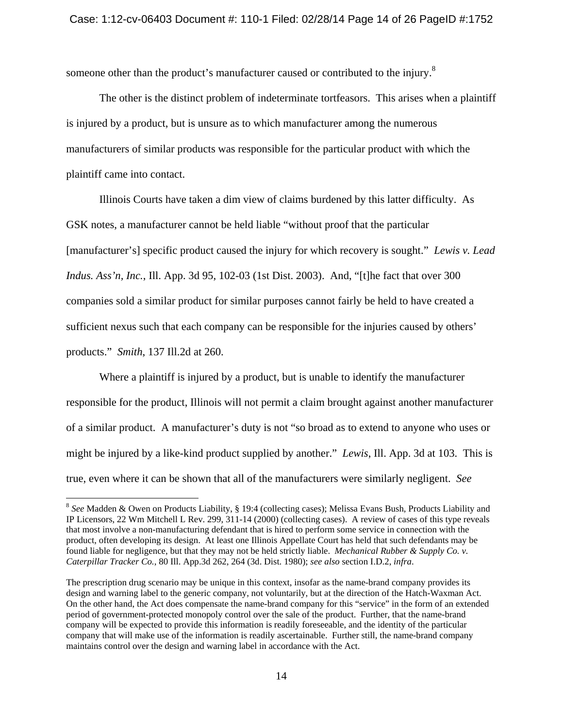someone other than the product's manufacturer caused or contributed to the injury.<sup>8</sup>

 The other is the distinct problem of indeterminate tortfeasors. This arises when a plaintiff is injured by a product, but is unsure as to which manufacturer among the numerous manufacturers of similar products was responsible for the particular product with which the plaintiff came into contact.

 Illinois Courts have taken a dim view of claims burdened by this latter difficulty. As GSK notes, a manufacturer cannot be held liable "without proof that the particular [manufacturer's] specific product caused the injury for which recovery is sought." *Lewis v. Lead Indus. Ass'n, Inc.*, Ill. App. 3d 95, 102-03 (1st Dist. 2003). And, "[t]he fact that over 300 companies sold a similar product for similar purposes cannot fairly be held to have created a sufficient nexus such that each company can be responsible for the injuries caused by others' products." *Smith*, 137 Ill.2d at 260.

 Where a plaintiff is injured by a product, but is unable to identify the manufacturer responsible for the product, Illinois will not permit a claim brought against another manufacturer of a similar product. A manufacturer's duty is not "so broad as to extend to anyone who uses or might be injured by a like-kind product supplied by another." *Lewis*, Ill. App. 3d at 103. This is true, even where it can be shown that all of the manufacturers were similarly negligent. *See* 

<sup>8</sup> *See* Madden & Owen on Products Liability, § 19:4 (collecting cases); Melissa Evans Bush, Products Liability and IP Licensors, 22 Wm Mitchell L Rev. 299, 311-14 (2000) (collecting cases). A review of cases of this type reveals that most involve a non-manufacturing defendant that is hired to perform some service in connection with the product, often developing its design. At least one Illinois Appellate Court has held that such defendants may be found liable for negligence, but that they may not be held strictly liable. *Mechanical Rubber & Supply Co. v. Caterpillar Tracker Co.*, 80 Ill. App.3d 262, 264 (3d. Dist. 1980); *see also* section I.D.2, *infra*.

The prescription drug scenario may be unique in this context, insofar as the name-brand company provides its design and warning label to the generic company, not voluntarily, but at the direction of the Hatch-Waxman Act. On the other hand, the Act does compensate the name-brand company for this "service" in the form of an extended period of government-protected monopoly control over the sale of the product. Further, that the name-brand company will be expected to provide this information is readily foreseeable, and the identity of the particular company that will make use of the information is readily ascertainable. Further still, the name-brand company maintains control over the design and warning label in accordance with the Act.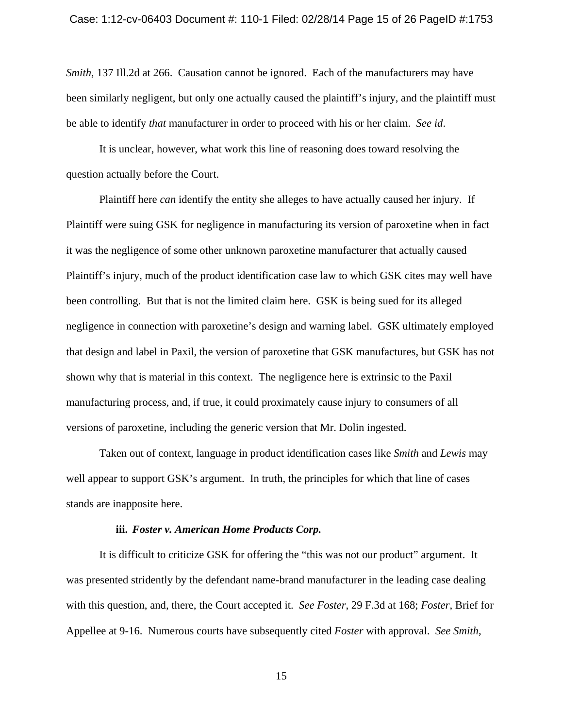*Smith*, 137 Ill.2d at 266. Causation cannot be ignored. Each of the manufacturers may have been similarly negligent, but only one actually caused the plaintiff's injury, and the plaintiff must be able to identify *that* manufacturer in order to proceed with his or her claim. *See id*.

 It is unclear, however, what work this line of reasoning does toward resolving the question actually before the Court.

 Plaintiff here *can* identify the entity she alleges to have actually caused her injury. If Plaintiff were suing GSK for negligence in manufacturing its version of paroxetine when in fact it was the negligence of some other unknown paroxetine manufacturer that actually caused Plaintiff's injury, much of the product identification case law to which GSK cites may well have been controlling. But that is not the limited claim here. GSK is being sued for its alleged negligence in connection with paroxetine's design and warning label. GSK ultimately employed that design and label in Paxil, the version of paroxetine that GSK manufactures, but GSK has not shown why that is material in this context. The negligence here is extrinsic to the Paxil manufacturing process, and, if true, it could proximately cause injury to consumers of all versions of paroxetine, including the generic version that Mr. Dolin ingested.

 Taken out of context, language in product identification cases like *Smith* and *Lewis* may well appear to support GSK's argument. In truth, the principles for which that line of cases stands are inapposite here.

### **iii.** *Foster v. American Home Products Corp.*

 It is difficult to criticize GSK for offering the "this was not our product" argument. It was presented stridently by the defendant name-brand manufacturer in the leading case dealing with this question, and, there, the Court accepted it. *See Foster*, 29 F.3d at 168; *Foster*, Brief for Appellee at 9-16. Numerous courts have subsequently cited *Foster* with approval. *See Smith*,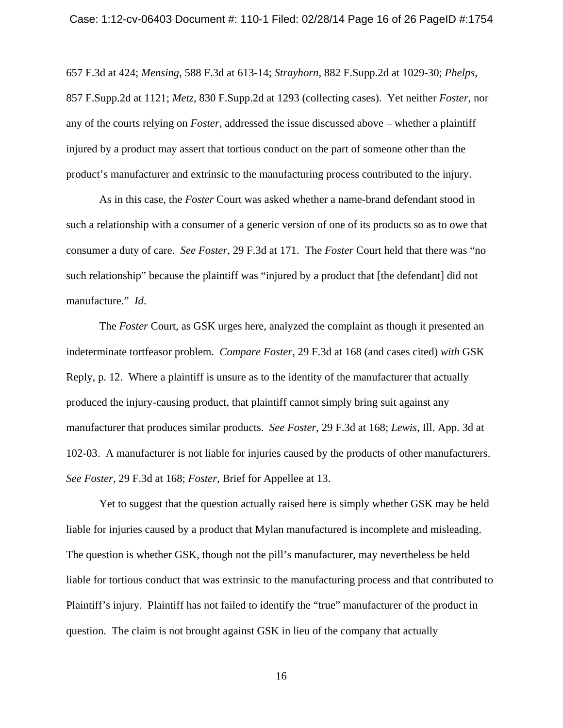657 F.3d at 424; *Mensing*, 588 F.3d at 613-14; *Strayhorn*, 882 F.Supp.2d at 1029-30; *Phelps*, 857 F.Supp.2d at 1121; *Metz*, 830 F.Supp.2d at 1293 (collecting cases). Yet neither *Foster*, nor any of the courts relying on *Foster*, addressed the issue discussed above – whether a plaintiff injured by a product may assert that tortious conduct on the part of someone other than the product's manufacturer and extrinsic to the manufacturing process contributed to the injury.

 As in this case, the *Foster* Court was asked whether a name-brand defendant stood in such a relationship with a consumer of a generic version of one of its products so as to owe that consumer a duty of care. *See Foster*, 29 F.3d at 171. The *Foster* Court held that there was "no such relationship" because the plaintiff was "injured by a product that [the defendant] did not manufacture." *Id*.

 The *Foster* Court, as GSK urges here, analyzed the complaint as though it presented an indeterminate tortfeasor problem. *Compare Foster*, 29 F.3d at 168 (and cases cited) *with* GSK Reply, p. 12. Where a plaintiff is unsure as to the identity of the manufacturer that actually produced the injury-causing product, that plaintiff cannot simply bring suit against any manufacturer that produces similar products. *See Foster*, 29 F.3d at 168; *Lewis*, Ill. App. 3d at 102-03. A manufacturer is not liable for injuries caused by the products of other manufacturers. *See Foster*, 29 F.3d at 168; *Foster*, Brief for Appellee at 13.

 Yet to suggest that the question actually raised here is simply whether GSK may be held liable for injuries caused by a product that Mylan manufactured is incomplete and misleading. The question is whether GSK, though not the pill's manufacturer, may nevertheless be held liable for tortious conduct that was extrinsic to the manufacturing process and that contributed to Plaintiff's injury. Plaintiff has not failed to identify the "true" manufacturer of the product in question. The claim is not brought against GSK in lieu of the company that actually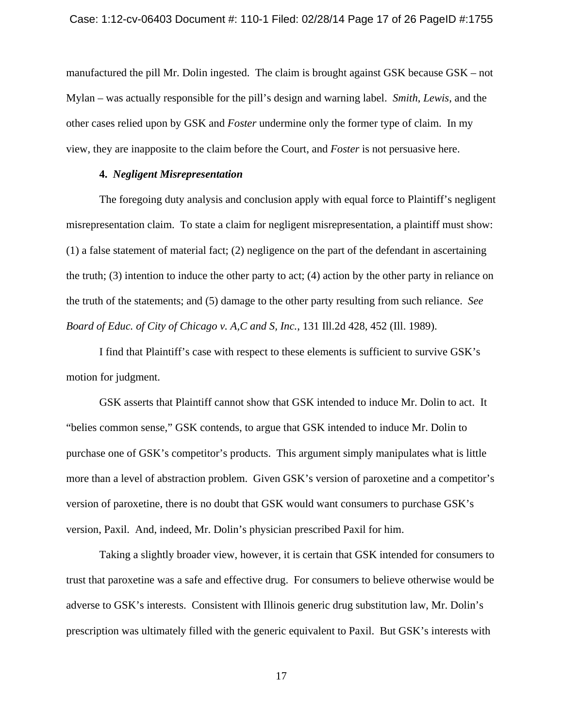manufactured the pill Mr. Dolin ingested. The claim is brought against GSK because GSK – not Mylan – was actually responsible for the pill's design and warning label. *Smith*, *Lewis*, and the other cases relied upon by GSK and *Foster* undermine only the former type of claim. In my view, they are inapposite to the claim before the Court, and *Foster* is not persuasive here.

# **4.** *Negligent Misrepresentation*

 The foregoing duty analysis and conclusion apply with equal force to Plaintiff's negligent misrepresentation claim. To state a claim for negligent misrepresentation, a plaintiff must show: (1) a false statement of material fact; (2) negligence on the part of the defendant in ascertaining the truth; (3) intention to induce the other party to act; (4) action by the other party in reliance on the truth of the statements; and (5) damage to the other party resulting from such reliance. *See Board of Educ. of City of Chicago v. A,C and S, Inc.*, 131 Ill.2d 428, 452 (Ill. 1989).

 I find that Plaintiff's case with respect to these elements is sufficient to survive GSK's motion for judgment.

 GSK asserts that Plaintiff cannot show that GSK intended to induce Mr. Dolin to act. It "belies common sense," GSK contends, to argue that GSK intended to induce Mr. Dolin to purchase one of GSK's competitor's products. This argument simply manipulates what is little more than a level of abstraction problem. Given GSK's version of paroxetine and a competitor's version of paroxetine, there is no doubt that GSK would want consumers to purchase GSK's version, Paxil. And, indeed, Mr. Dolin's physician prescribed Paxil for him.

 Taking a slightly broader view, however, it is certain that GSK intended for consumers to trust that paroxetine was a safe and effective drug. For consumers to believe otherwise would be adverse to GSK's interests. Consistent with Illinois generic drug substitution law, Mr. Dolin's prescription was ultimately filled with the generic equivalent to Paxil. But GSK's interests with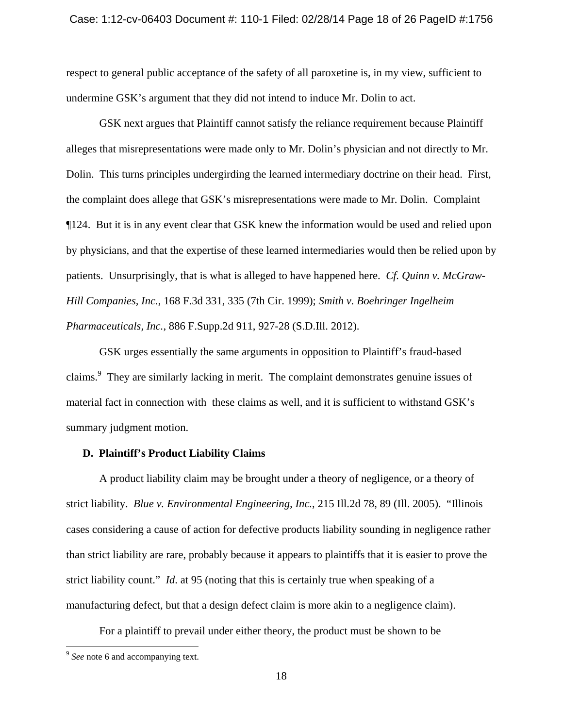respect to general public acceptance of the safety of all paroxetine is, in my view, sufficient to undermine GSK's argument that they did not intend to induce Mr. Dolin to act.

 GSK next argues that Plaintiff cannot satisfy the reliance requirement because Plaintiff alleges that misrepresentations were made only to Mr. Dolin's physician and not directly to Mr. Dolin. This turns principles undergirding the learned intermediary doctrine on their head. First, the complaint does allege that GSK's misrepresentations were made to Mr. Dolin. Complaint ¶124. But it is in any event clear that GSK knew the information would be used and relied upon by physicians, and that the expertise of these learned intermediaries would then be relied upon by patients. Unsurprisingly, that is what is alleged to have happened here. *Cf. Quinn v. McGraw-Hill Companies, Inc.*, 168 F.3d 331, 335 (7th Cir. 1999); *Smith v. Boehringer Ingelheim Pharmaceuticals, Inc.*, 886 F.Supp.2d 911, 927-28 (S.D.Ill. 2012).

 GSK urges essentially the same arguments in opposition to Plaintiff's fraud-based claims.<sup>9</sup> They are similarly lacking in merit. The complaint demonstrates genuine issues of material fact in connection with these claims as well, and it is sufficient to withstand GSK's summary judgment motion.

## **D. Plaintiff's Product Liability Claims**

 A product liability claim may be brought under a theory of negligence, or a theory of strict liability. *Blue v. Environmental Engineering, Inc.*, 215 Ill.2d 78, 89 (Ill. 2005). "Illinois cases considering a cause of action for defective products liability sounding in negligence rather than strict liability are rare, probably because it appears to plaintiffs that it is easier to prove the strict liability count." *Id*. at 95 (noting that this is certainly true when speaking of a manufacturing defect, but that a design defect claim is more akin to a negligence claim).

For a plaintiff to prevail under either theory, the product must be shown to be

 $\overline{a}$ 

<sup>&</sup>lt;sup>9</sup> See note 6 and accompanying text.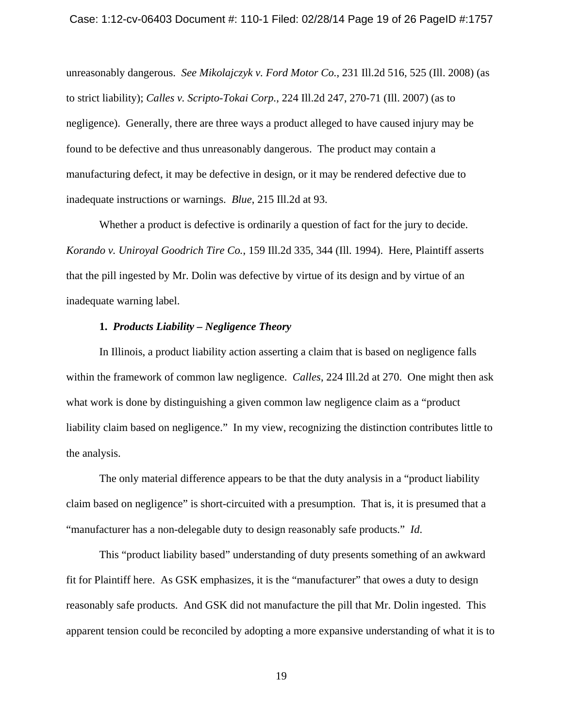unreasonably dangerous. *See Mikolajczyk v. Ford Motor Co.*, 231 Ill.2d 516, 525 (Ill. 2008) (as to strict liability); *Calles v. Scripto-Tokai Corp.*, 224 Ill.2d 247, 270-71 (Ill. 2007) (as to negligence). Generally, there are three ways a product alleged to have caused injury may be found to be defective and thus unreasonably dangerous. The product may contain a manufacturing defect, it may be defective in design, or it may be rendered defective due to inadequate instructions or warnings. *Blue*, 215 Ill.2d at 93.

 Whether a product is defective is ordinarily a question of fact for the jury to decide. *Korando v. Uniroyal Goodrich Tire Co.*, 159 Ill.2d 335, 344 (Ill. 1994). Here, Plaintiff asserts that the pill ingested by Mr. Dolin was defective by virtue of its design and by virtue of an inadequate warning label.

# **1.** *Products Liability – Negligence Theory*

 In Illinois, a product liability action asserting a claim that is based on negligence falls within the framework of common law negligence. *Calles*, 224 Ill.2d at 270. One might then ask what work is done by distinguishing a given common law negligence claim as a "product" liability claim based on negligence." In my view, recognizing the distinction contributes little to the analysis.

 The only material difference appears to be that the duty analysis in a "product liability claim based on negligence" is short-circuited with a presumption. That is, it is presumed that a "manufacturer has a non-delegable duty to design reasonably safe products." *Id*.

 This "product liability based" understanding of duty presents something of an awkward fit for Plaintiff here. As GSK emphasizes, it is the "manufacturer" that owes a duty to design reasonably safe products. And GSK did not manufacture the pill that Mr. Dolin ingested. This apparent tension could be reconciled by adopting a more expansive understanding of what it is to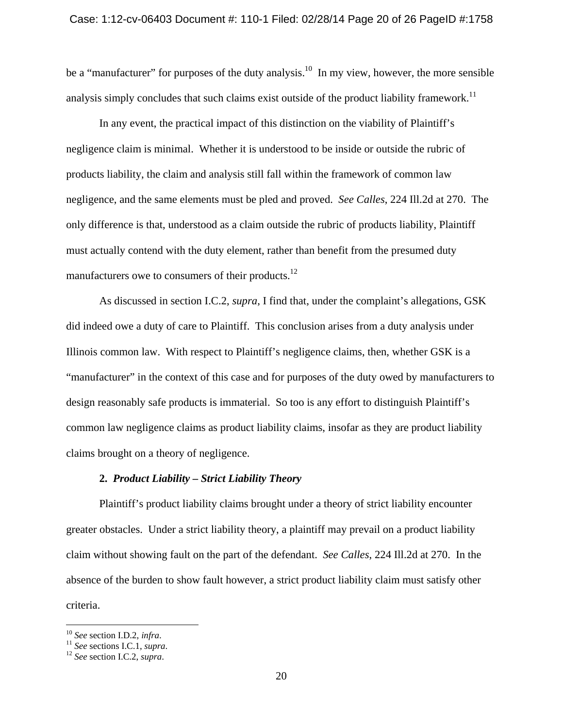be a "manufacturer" for purposes of the duty analysis.<sup>10</sup> In my view, however, the more sensible analysis simply concludes that such claims exist outside of the product liability framework.<sup>11</sup>

 In any event, the practical impact of this distinction on the viability of Plaintiff's negligence claim is minimal. Whether it is understood to be inside or outside the rubric of products liability, the claim and analysis still fall within the framework of common law negligence, and the same elements must be pled and proved. *See Calles*, 224 Ill.2d at 270. The only difference is that, understood as a claim outside the rubric of products liability, Plaintiff must actually contend with the duty element, rather than benefit from the presumed duty manufacturers owe to consumers of their products.<sup>12</sup>

 As discussed in section I.C.2, *supra*, I find that, under the complaint's allegations, GSK did indeed owe a duty of care to Plaintiff. This conclusion arises from a duty analysis under Illinois common law. With respect to Plaintiff's negligence claims, then, whether GSK is a "manufacturer" in the context of this case and for purposes of the duty owed by manufacturers to design reasonably safe products is immaterial. So too is any effort to distinguish Plaintiff's common law negligence claims as product liability claims, insofar as they are product liability claims brought on a theory of negligence.

# **2.** *Product Liability – Strict Liability Theory*

 Plaintiff's product liability claims brought under a theory of strict liability encounter greater obstacles. Under a strict liability theory, a plaintiff may prevail on a product liability claim without showing fault on the part of the defendant. *See Calles*, 224 Ill.2d at 270. In the absence of the burden to show fault however, a strict product liability claim must satisfy other criteria.

 $\overline{a}$ 

<sup>10</sup> *See* section I.D.2, *infra*. 11 *See* sections I.C.1, *supra*. 12 *See* section I.C.2, *supra*.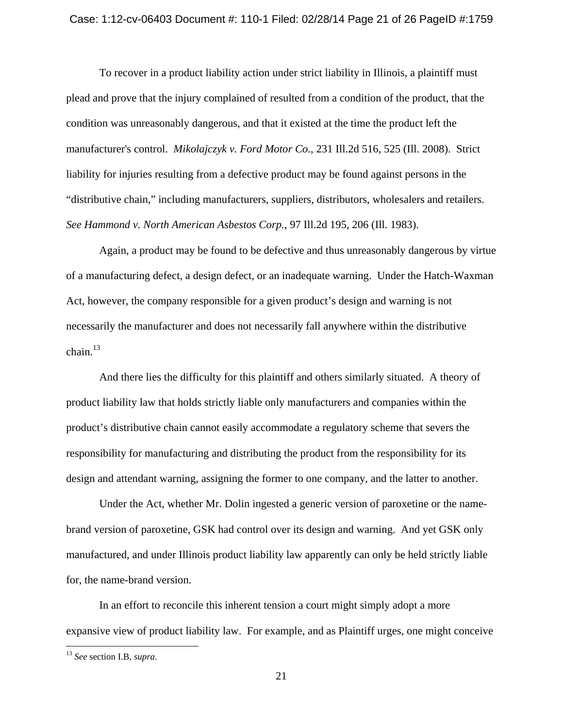To recover in a product liability action under strict liability in Illinois, a plaintiff must plead and prove that the injury complained of resulted from a condition of the product, that the condition was unreasonably dangerous, and that it existed at the time the product left the manufacturer's control. *Mikolajczyk v. Ford Motor Co.*, 231 Ill.2d 516, 525 (Ill. 2008). Strict liability for injuries resulting from a defective product may be found against persons in the "distributive chain," including manufacturers, suppliers, distributors, wholesalers and retailers. *See Hammond v. North American Asbestos Corp.*, 97 Ill.2d 195, 206 (Ill. 1983).

 Again, a product may be found to be defective and thus unreasonably dangerous by virtue of a manufacturing defect, a design defect, or an inadequate warning. Under the Hatch-Waxman Act, however, the company responsible for a given product's design and warning is not necessarily the manufacturer and does not necessarily fall anywhere within the distributive chain.<sup>13</sup>

 And there lies the difficulty for this plaintiff and others similarly situated. A theory of product liability law that holds strictly liable only manufacturers and companies within the product's distributive chain cannot easily accommodate a regulatory scheme that severs the responsibility for manufacturing and distributing the product from the responsibility for its design and attendant warning, assigning the former to one company, and the latter to another.

 Under the Act, whether Mr. Dolin ingested a generic version of paroxetine or the namebrand version of paroxetine, GSK had control over its design and warning. And yet GSK only manufactured, and under Illinois product liability law apparently can only be held strictly liable for, the name-brand version.

 In an effort to reconcile this inherent tension a court might simply adopt a more expansive view of product liability law. For example, and as Plaintiff urges, one might conceive

<u>.</u>

<sup>13</sup> *See* section I.B, *supra*.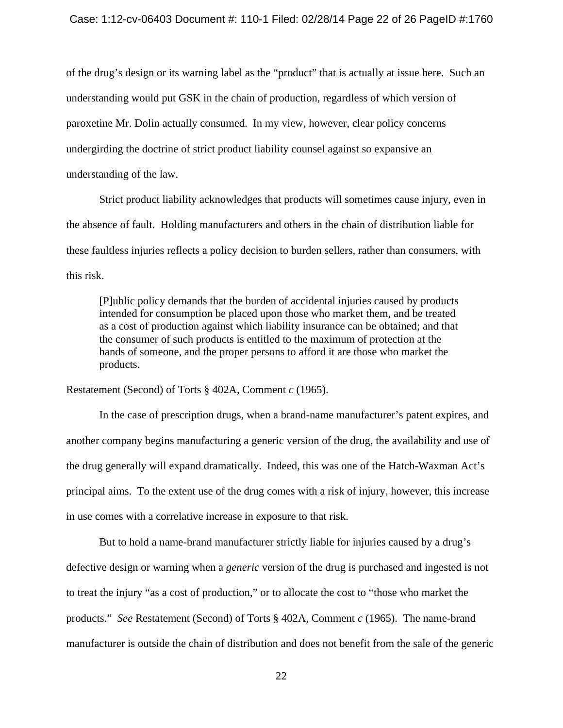of the drug's design or its warning label as the "product" that is actually at issue here. Such an understanding would put GSK in the chain of production, regardless of which version of paroxetine Mr. Dolin actually consumed. In my view, however, clear policy concerns undergirding the doctrine of strict product liability counsel against so expansive an understanding of the law.

 Strict product liability acknowledges that products will sometimes cause injury, even in the absence of fault. Holding manufacturers and others in the chain of distribution liable for these faultless injuries reflects a policy decision to burden sellers, rather than consumers, with this risk.

[P]ublic policy demands that the burden of accidental injuries caused by products intended for consumption be placed upon those who market them, and be treated as a cost of production against which liability insurance can be obtained; and that the consumer of such products is entitled to the maximum of protection at the hands of someone, and the proper persons to afford it are those who market the products.

Restatement (Second) of Torts § 402A, Comment *c* (1965).

 In the case of prescription drugs, when a brand-name manufacturer's patent expires, and another company begins manufacturing a generic version of the drug, the availability and use of the drug generally will expand dramatically. Indeed, this was one of the Hatch-Waxman Act's principal aims. To the extent use of the drug comes with a risk of injury, however, this increase in use comes with a correlative increase in exposure to that risk.

 But to hold a name-brand manufacturer strictly liable for injuries caused by a drug's defective design or warning when a *generic* version of the drug is purchased and ingested is not to treat the injury "as a cost of production," or to allocate the cost to "those who market the products." *See* Restatement (Second) of Torts § 402A, Comment *c* (1965). The name-brand manufacturer is outside the chain of distribution and does not benefit from the sale of the generic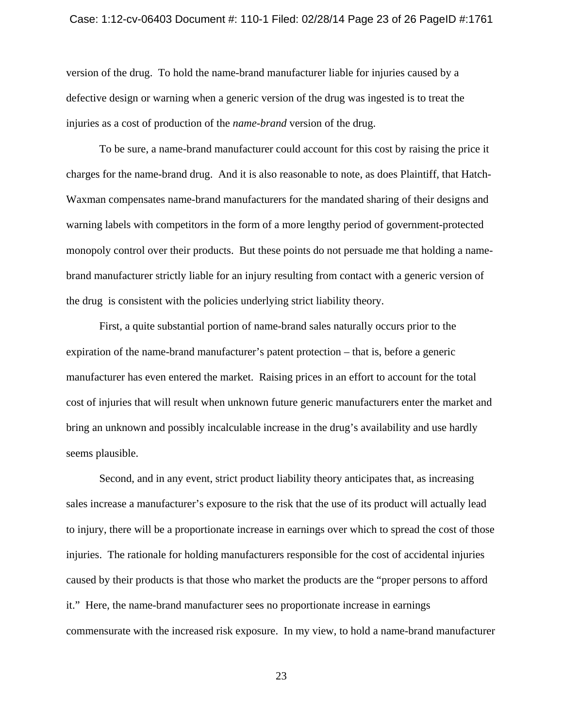#### Case: 1:12-cv-06403 Document #: 110-1 Filed: 02/28/14 Page 23 of 26 PageID #:1761

version of the drug. To hold the name-brand manufacturer liable for injuries caused by a defective design or warning when a generic version of the drug was ingested is to treat the injuries as a cost of production of the *name-brand* version of the drug.

 To be sure, a name-brand manufacturer could account for this cost by raising the price it charges for the name-brand drug. And it is also reasonable to note, as does Plaintiff, that Hatch-Waxman compensates name-brand manufacturers for the mandated sharing of their designs and warning labels with competitors in the form of a more lengthy period of government-protected monopoly control over their products. But these points do not persuade me that holding a namebrand manufacturer strictly liable for an injury resulting from contact with a generic version of the drug is consistent with the policies underlying strict liability theory.

 First, a quite substantial portion of name-brand sales naturally occurs prior to the expiration of the name-brand manufacturer's patent protection – that is, before a generic manufacturer has even entered the market. Raising prices in an effort to account for the total cost of injuries that will result when unknown future generic manufacturers enter the market and bring an unknown and possibly incalculable increase in the drug's availability and use hardly seems plausible.

 Second, and in any event, strict product liability theory anticipates that, as increasing sales increase a manufacturer's exposure to the risk that the use of its product will actually lead to injury, there will be a proportionate increase in earnings over which to spread the cost of those injuries. The rationale for holding manufacturers responsible for the cost of accidental injuries caused by their products is that those who market the products are the "proper persons to afford it." Here, the name-brand manufacturer sees no proportionate increase in earnings commensurate with the increased risk exposure. In my view, to hold a name-brand manufacturer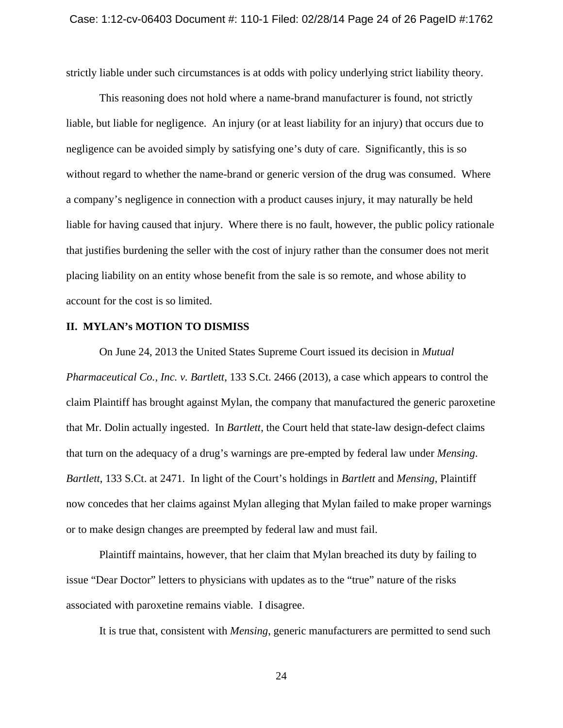strictly liable under such circumstances is at odds with policy underlying strict liability theory.

 This reasoning does not hold where a name-brand manufacturer is found, not strictly liable, but liable for negligence. An injury (or at least liability for an injury) that occurs due to negligence can be avoided simply by satisfying one's duty of care. Significantly, this is so without regard to whether the name-brand or generic version of the drug was consumed. Where a company's negligence in connection with a product causes injury, it may naturally be held liable for having caused that injury. Where there is no fault, however, the public policy rationale that justifies burdening the seller with the cost of injury rather than the consumer does not merit placing liability on an entity whose benefit from the sale is so remote, and whose ability to account for the cost is so limited.

## **II. MYLAN's MOTION TO DISMISS**

 On June 24, 2013 the United States Supreme Court issued its decision in *Mutual Pharmaceutical Co., Inc. v. Bartlett*, 133 S.Ct. 2466 (2013), a case which appears to control the claim Plaintiff has brought against Mylan, the company that manufactured the generic paroxetine that Mr. Dolin actually ingested. In *Bartlett*, the Court held that state-law design-defect claims that turn on the adequacy of a drug's warnings are pre-empted by federal law under *Mensing*. *Bartlett*, 133 S.Ct. at 2471. In light of the Court's holdings in *Bartlett* and *Mensing*, Plaintiff now concedes that her claims against Mylan alleging that Mylan failed to make proper warnings or to make design changes are preempted by federal law and must fail.

 Plaintiff maintains, however, that her claim that Mylan breached its duty by failing to issue "Dear Doctor" letters to physicians with updates as to the "true" nature of the risks associated with paroxetine remains viable. I disagree.

It is true that, consistent with *Mensing*, generic manufacturers are permitted to send such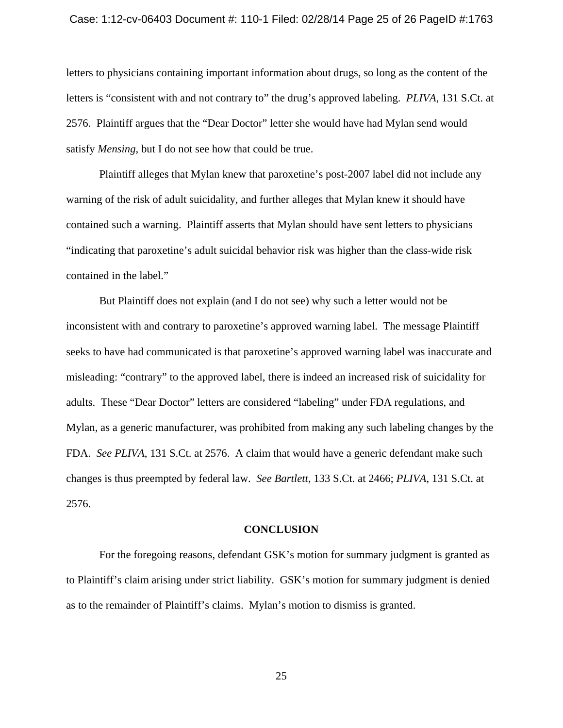#### Case: 1:12-cv-06403 Document #: 110-1 Filed: 02/28/14 Page 25 of 26 PageID #:1763

letters to physicians containing important information about drugs, so long as the content of the letters is "consistent with and not contrary to" the drug's approved labeling. *PLIVA*, 131 S.Ct. at 2576. Plaintiff argues that the "Dear Doctor" letter she would have had Mylan send would satisfy *Mensing*, but I do not see how that could be true.

 Plaintiff alleges that Mylan knew that paroxetine's post-2007 label did not include any warning of the risk of adult suicidality, and further alleges that Mylan knew it should have contained such a warning. Plaintiff asserts that Mylan should have sent letters to physicians "indicating that paroxetine's adult suicidal behavior risk was higher than the class-wide risk contained in the label."

 But Plaintiff does not explain (and I do not see) why such a letter would not be inconsistent with and contrary to paroxetine's approved warning label. The message Plaintiff seeks to have had communicated is that paroxetine's approved warning label was inaccurate and misleading: "contrary" to the approved label, there is indeed an increased risk of suicidality for adults. These "Dear Doctor" letters are considered "labeling" under FDA regulations, and Mylan, as a generic manufacturer, was prohibited from making any such labeling changes by the FDA. *See PLIVA*, 131 S.Ct. at 2576. A claim that would have a generic defendant make such changes is thus preempted by federal law. *See Bartlett*, 133 S.Ct. at 2466; *PLIVA*, 131 S.Ct. at 2576.

### **CONCLUSION**

 For the foregoing reasons, defendant GSK's motion for summary judgment is granted as to Plaintiff's claim arising under strict liability. GSK's motion for summary judgment is denied as to the remainder of Plaintiff's claims. Mylan's motion to dismiss is granted.